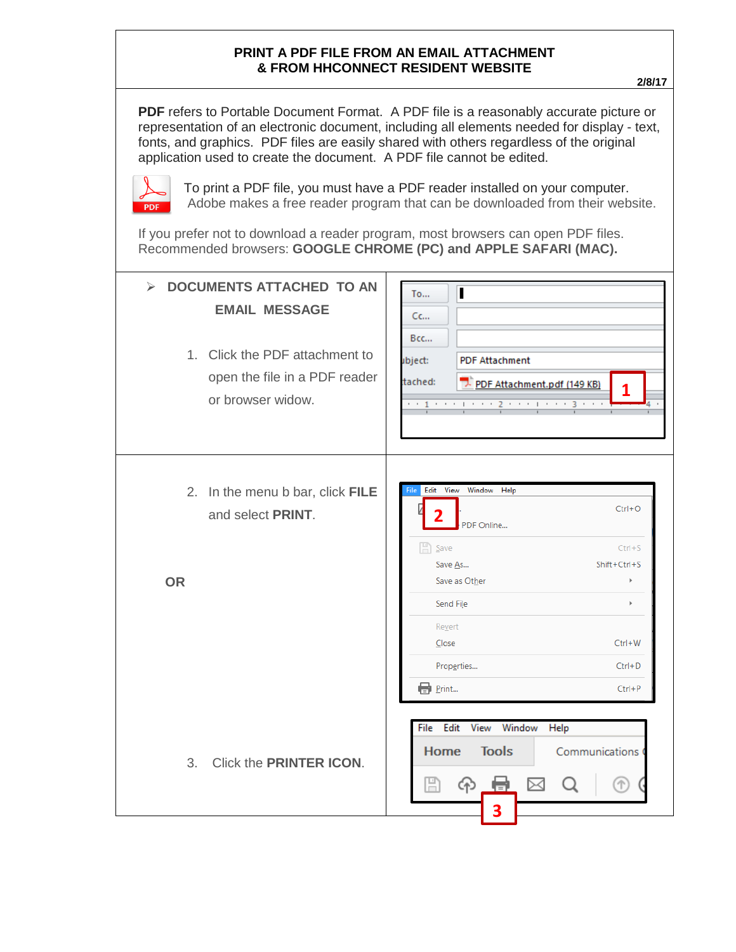## **PRINT A PDF FILE FROM AN EMAIL ATTACHMENT & FROM HHCONNECT RESIDENT WEBSITE**

**PDF** refers to Portable Document Format. A PDF file is a reasonably accurate picture or representation of an electronic document, including all elements needed for display - text, fonts, and graphics. PDF files are easily shared with others regardless of the original application used to create the document. A PDF file cannot be edited.



To print a PDF file, you must have a PDF reader installed on your computer. Adobe makes a free reader program that can be downloaded from their website.

If you prefer not to download a reader program, most browsers can open PDF files. Recommended browsers: **GOOGLE CHROME (PC) and APPLE SAFARI (MAC).**

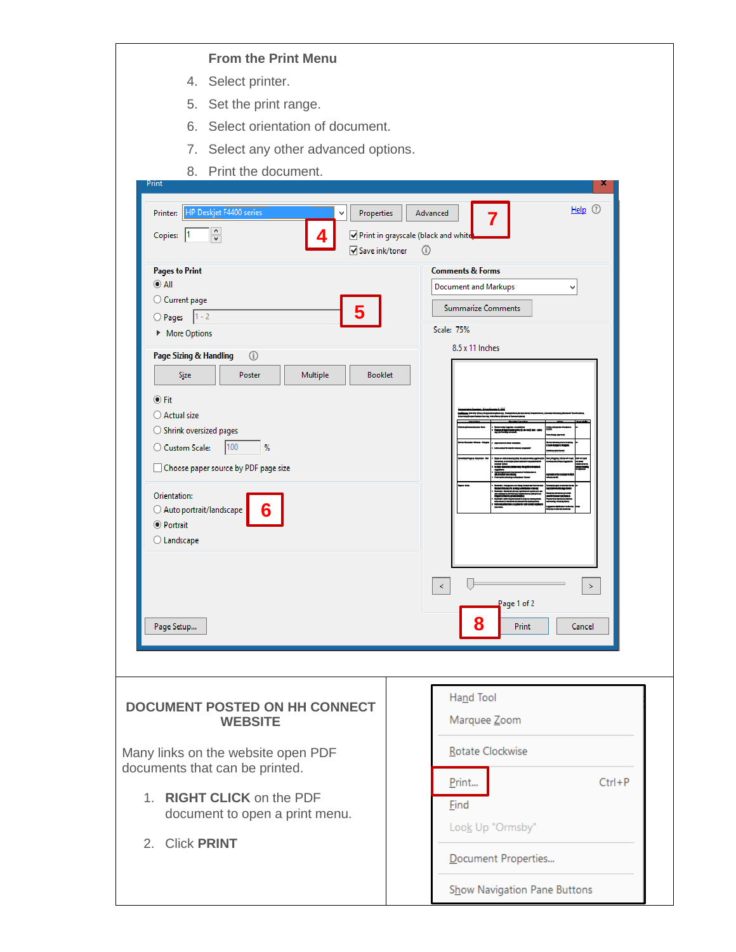## **From the Print Menu**

- 4. Select printer.
- 5. Set the print range.
- 6. Select orientation of document.
- 7. Select any other advanced options.
- 8. Print the document.

| HP Deskjet F4400 series<br>Printer:<br>Properties<br>$\frac{1}{x}$<br>Copies:<br> 1<br>4<br>Save ink/toner                                                                                                                                                                                                                                                                                                                                        | $Help$ $@$<br>Advanced<br>Print in grayscale (black and white<br>$\circled{1}$                                                                                                    |
|---------------------------------------------------------------------------------------------------------------------------------------------------------------------------------------------------------------------------------------------------------------------------------------------------------------------------------------------------------------------------------------------------------------------------------------------------|-----------------------------------------------------------------------------------------------------------------------------------------------------------------------------------|
| <b>Pages to Print</b><br>$\odot$ All<br>○ Current page<br>5<br>O Pages 1-2<br>More Options<br>Page Sizing & Handling<br>$\circ$<br><b>Booklet</b><br>Multiple<br><b>Size</b><br>Poster<br>$\odot$ Fit<br>○ Actual size<br>$\bigcirc$ Shrink oversized pages<br>100<br>C Custom Scale:<br>%<br>Choose paper source by PDF page size<br>Orientation:<br>6<br>$\bigcirc$ Auto portrait/landscape<br>◉ Portrait<br>$\bigcirc$ Landscape<br>Page Setup | <b>Comments &amp; Forms</b><br>Document and Markups<br>v<br><b>Summarize Comments</b><br>Scale: 75%<br>8.5 x 11 Inches<br>$\leq$<br>$\geq$<br>Page 1 of 2<br>8<br>Print<br>Cancel |
| <b>DOCUMENT POSTED ON HH CONNECT</b><br><b>WEBSITE</b><br>Many links on the website open PDF<br>documents that can be printed.<br>1. RIGHT CLICK on the PDF<br>document to open a print menu.<br>2. Click PRINT                                                                                                                                                                                                                                   | Hand Tool<br>Marquee Zoom<br>Rotate Clockwise<br>$Ctrl + P$<br>Print<br>Eind<br>Look Up "Ormsby"<br>Document Properties                                                           |

Show Navigation Pane Buttons